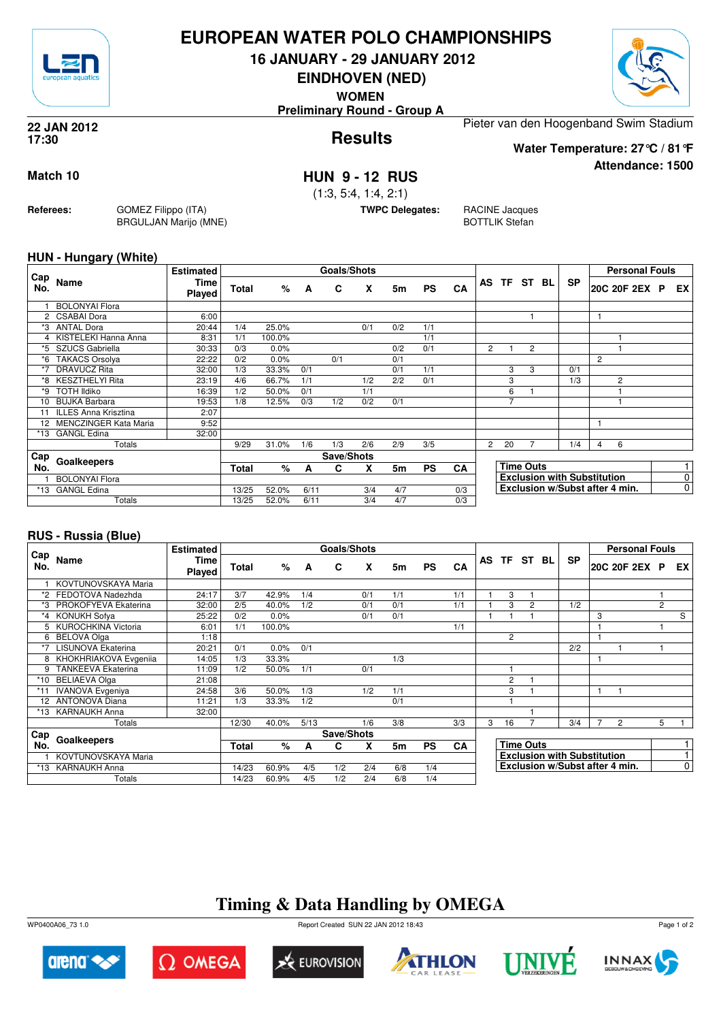

## **EUROPEAN WATER POLO CHAMPIONSHIPS**

**16 JANUARY - 29 JANUARY 2012**

**EINDHOVEN (NED)**

**WOMEN**

**Preliminary Round - Group A**

#### **Results 22 JAN 2012 17:30**

Pieter van den Hoogenband Swim Stadium

**Water Temperature: 27°C / 81°F**

**Attendance: 1500**

## **Match 10 HUN 9 - 12 RUS**

(1:3, 5:4, 1:4, 2:1)

**TWPC Delegates:** RACINE Jacques

BOTTLIK Stefan

### **HUN - Hungary (White)**

**Referees:** GOMEZ Filippo (ITA)

BRGULJAN Marijo (MNE)

| Cap   |                         | <b>Estimated</b>      |              |        |      | <b>Goals/Shots</b> |     |     |           |     |              |                |                  |           |                                    | <b>Personal Fouls</b> |                |
|-------|-------------------------|-----------------------|--------------|--------|------|--------------------|-----|-----|-----------|-----|--------------|----------------|------------------|-----------|------------------------------------|-----------------------|----------------|
| No.   | Name                    | <b>Time</b><br>Played | <b>Total</b> | %      | A    | C                  | X   | 5m  | <b>PS</b> | CA  | AS           | TF ST BL       |                  | <b>SP</b> |                                    | 20C 20F 2EX P         | EX.            |
|       | <b>BOLONYAl Flora</b>   |                       |              |        |      |                    |     |     |           |     |              |                |                  |           |                                    |                       |                |
|       | 2 CSABAI Dora           | 6:00                  |              |        |      |                    |     |     |           |     |              |                |                  |           |                                    |                       |                |
|       | *3 ANTAL Dora           | 20:44                 | 1/4          | 25.0%  |      |                    | 0/1 | 0/2 | 1/1       |     |              |                |                  |           |                                    |                       |                |
|       | 4 KISTELEKI Hanna Anna  | 8:31                  | 1/1          | 100.0% |      |                    |     |     | 1/1       |     |              |                |                  |           |                                    |                       |                |
|       | *5 SZUCS Gabriella      | 30:33                 | 0/3          | 0.0%   |      |                    |     | 0/2 | 0/1       |     | 2            |                | 2                |           |                                    |                       |                |
| *6    | <b>TAKACS Orsolya</b>   | 22:22                 | 0/2          | 0.0%   |      | 0/1                |     | 0/1 |           |     |              |                |                  |           | 2                                  |                       |                |
| *7    | DRAVUCZ Rita            | 32:00                 | 1/3          | 33.3%  | 0/1  |                    |     | 0/1 | 1/1       |     |              | 3              | 3                | 0/1       |                                    |                       |                |
| *8    | KESZTHELYI Rita         | 23:19                 | 4/6          | 66.7%  | 1/1  |                    | 1/2 | 2/2 | 0/1       |     |              | 3              |                  | 1/3       |                                    | $\overline{c}$        |                |
| ∗۹    | <b>TOTH Ildiko</b>      | 16:39                 | 1/2          | 50.0%  | 0/1  |                    | 1/1 |     |           |     |              | 6              |                  |           |                                    |                       |                |
| 10    | BUJKA Barbara           | 19:53                 | 1/8          | 12.5%  | 0/3  | 1/2                | 0/2 | 0/1 |           |     |              | $\overline{7}$ |                  |           |                                    |                       |                |
|       | 11 ILLES Anna Krisztina | 2:07                  |              |        |      |                    |     |     |           |     |              |                |                  |           |                                    |                       |                |
| 12    | MENCZINGER Kata Maria   | 9:52                  |              |        |      |                    |     |     |           |     |              |                |                  |           |                                    |                       |                |
| *13   | <b>GANGL Edina</b>      | 32:00                 |              |        |      |                    |     |     |           |     |              |                |                  |           |                                    |                       |                |
|       | Totals                  |                       | 9/29         | 31.0%  | 1/6  | 1/3                | 2/6 | 2/9 | 3/5       |     | $\mathbf{2}$ | 20             |                  | 1/4       | 4                                  | 6                     |                |
| Cap   |                         |                       |              |        |      | Save/Shots         |     |     |           |     |              |                |                  |           |                                    |                       |                |
| No.   | Goalkeepers             |                       | <b>Total</b> | %      | A    | С                  | X   | 5m  | <b>PS</b> | CA  |              |                | <b>Time Outs</b> |           |                                    |                       |                |
|       | <b>BOLONYAl Flora</b>   |                       |              |        |      |                    |     |     |           |     |              |                |                  |           | <b>Exclusion with Substitution</b> |                       | 0              |
| $*13$ | <b>GANGL Edina</b>      |                       | 13/25        | 52.0%  | 6/11 |                    | 3/4 | 4/7 |           | 0/3 |              |                |                  |           | Exclusion w/Subst after 4 min.     |                       | $\overline{0}$ |
|       | Totals                  |                       | 13/25        | 52.0%  | 6/11 |                    | 3/4 | 4/7 |           | 0/3 |              |                |                  |           |                                    |                       |                |

### **RUS - Russia (Blue)**

|            |                           | <b>Estimated</b>      |              |        |      | Goals/Shots |     |     |           |           |   |    |                  |                                    |   | <b>Personal Fouls</b>          |                |                |
|------------|---------------------------|-----------------------|--------------|--------|------|-------------|-----|-----|-----------|-----------|---|----|------------------|------------------------------------|---|--------------------------------|----------------|----------------|
| Cap<br>No. | Name                      | <b>Time</b><br>Played | <b>Total</b> | %      | A    | C           | X   | 5m  | <b>PS</b> | CA        |   |    | AS TF ST BL      | <b>SP</b>                          |   | 20C 20F 2EX P                  |                | EX             |
|            | KOVTUNOVSKAYA Maria       |                       |              |        |      |             |     |     |           |           |   |    |                  |                                    |   |                                |                |                |
| *2         | FEDOTOVA Nadezhda         | 24:17                 | 3/7          | 42.9%  | 1/4  |             | 0/1 | 1/1 |           | 1/1       |   | 3  |                  |                                    |   |                                |                |                |
| *3         | PROKOFYEVA Ekaterina      | 32:00                 | 2/5          | 40.0%  | 1/2  |             | 0/1 | 0/1 |           | 1/1       |   | 3  | $\overline{2}$   | 1/2                                |   |                                | $\overline{2}$ |                |
|            | *4 KONUKH Sofya           | 25:22                 | 0/2          | 0.0%   |      |             | 0/1 | 0/1 |           |           |   |    |                  |                                    | 3 |                                |                | S              |
|            | 5 KUROCHKINA Victoria     | 6:01                  | 1/1          | 100.0% |      |             |     |     |           | 1/1       |   |    |                  |                                    |   |                                |                |                |
| 6          | <b>BELOVA Olga</b>        | 1:18                  |              |        |      |             |     |     |           |           |   | 2  |                  |                                    |   |                                |                |                |
| $*7$       | LISUNOVA Ekaterina        | 20:21                 | 0/1          | 0.0%   | 0/1  |             |     |     |           |           |   |    |                  | 2/2                                |   |                                |                |                |
|            | 8 KHOKHRIAKOVA Evgenija   | 14:05                 | 1/3          | 33.3%  |      |             |     | 1/3 |           |           |   |    |                  |                                    |   |                                |                |                |
| 9          | <b>TANKEEVA Ekaterina</b> | 11:09                 | 1/2          | 50.0%  | 1/1  |             | 0/1 |     |           |           |   |    |                  |                                    |   |                                |                |                |
| $*10$      | <b>BELIAEVA Olga</b>      | 21:08                 |              |        |      |             |     |     |           |           |   | 2  |                  |                                    |   |                                |                |                |
| $*11$      | <b>IVANOVA</b> Evgeniya   | 24:58                 | 3/6          | 50.0%  | 1/3  |             | 1/2 | 1/1 |           |           |   | 3  |                  |                                    | 1 |                                |                |                |
|            | 12 ANTONOVA Diana         | 11:21                 | 1/3          | 33.3%  | 1/2  |             |     | 0/1 |           |           |   |    |                  |                                    |   |                                |                |                |
| *13        | <b>KARNAUKH Anna</b>      | 32:00                 |              |        |      |             |     |     |           |           |   |    |                  |                                    |   |                                |                |                |
|            | Totals                    |                       | 12/30        | 40.0%  | 5/13 |             | 1/6 | 3/8 |           | 3/3       | 3 | 16 |                  | 3/4                                | 7 | $\overline{2}$                 | 5              |                |
| ⊦ Cap      |                           |                       |              |        |      | Save/Shots  |     |     |           |           |   |    |                  |                                    |   |                                |                |                |
| No.        | Goalkeepers               |                       | Total        | %      | A    | C           | X   | 5m  | <b>PS</b> | <b>CA</b> |   |    | <b>Time Outs</b> |                                    |   |                                |                | 1              |
|            | KOVTUNOVSKAYA Maria       |                       |              |        |      |             |     |     |           |           |   |    |                  | <b>Exclusion with Substitution</b> |   |                                |                |                |
|            | *13 KARNAUKH Anna         |                       | 14/23        | 60.9%  | 4/5  | 1/2         | 2/4 | 6/8 | 1/4       |           |   |    |                  |                                    |   | Exclusion w/Subst after 4 min. |                | $\overline{0}$ |
|            | Totals                    |                       | 14/23        | 60.9%  | 4/5  | 1/2         | 2/4 | 6/8 | 1/4       |           |   |    |                  |                                    |   |                                |                |                |

# **Timing & Data Handling by OMEGA**

WP0400A06\_73 1.0 Report Created SUN 22 JAN 2012 18:43













Page 1 of 2